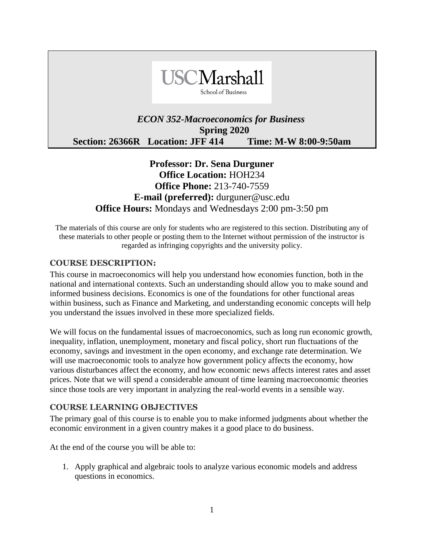

## *ECON 352-Macroeconomics for Business*  **Spring 2020 Section: 26366R Location: JFF 414 Time: M-W 8:00-9:50am**

# **Professor: Dr. Sena Durguner Office Location:** HOH234 **Office Phone:** 213-740-7559 **E-mail (preferred):** durguner@usc.edu **Office Hours:** Mondays and Wednesdays 2:00 pm-3:50 pm

The materials of this course are only for students who are registered to this section. Distributing any of these materials to other people or posting them to the Internet without permission of the instructor is regarded as infringing copyrights and the university policy.

#### **COURSE DESCRIPTION:**

This course in macroeconomics will help you understand how economies function, both in the national and international contexts. Such an understanding should allow you to make sound and informed business decisions. Economics is one of the foundations for other functional areas within business, such as Finance and Marketing, and understanding economic concepts will help you understand the issues involved in these more specialized fields.

We will focus on the fundamental issues of macroeconomics, such as long run economic growth, inequality, inflation, unemployment, monetary and fiscal policy, short run fluctuations of the economy, savings and investment in the open economy, and exchange rate determination. We will use macroeconomic tools to analyze how government policy affects the economy, how various disturbances affect the economy, and how economic news affects interest rates and asset prices. Note that we will spend a considerable amount of time learning macroeconomic theories since those tools are very important in analyzing the real-world events in a sensible way.

#### **COURSE LEARNING OBJECTIVES**

The primary goal of this course is to enable you to make informed judgments about whether the economic environment in a given country makes it a good place to do business.

At the end of the course you will be able to:

1. Apply graphical and algebraic tools to analyze various economic models and address questions in economics.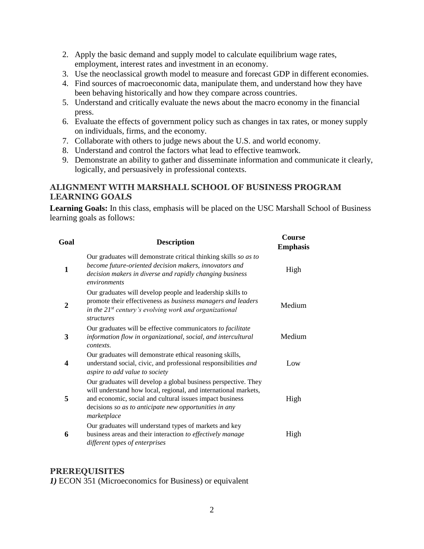- 2. Apply the basic demand and supply model to calculate equilibrium wage rates, employment, interest rates and investment in an economy.
- 3. Use the neoclassical growth model to measure and forecast GDP in different economies.
- 4. Find sources of macroeconomic data, manipulate them, and understand how they have been behaving historically and how they compare across countries.
- 5. Understand and critically evaluate the news about the macro economy in the financial press.
- 6. Evaluate the effects of government policy such as changes in tax rates, or money supply on individuals, firms, and the economy.
- 7. Collaborate with others to judge news about the U.S. and world economy.
- 8. Understand and control the factors what lead to effective teamwork.
- 9. Demonstrate an ability to gather and disseminate information and communicate it clearly, logically, and persuasively in professional contexts.

#### **ALIGNMENT WITH MARSHALL SCHOOL OF BUSINESS PROGRAM LEARNING GOALS**

**Learning Goals:** In this class, emphasis will be placed on the USC Marshall School of Business learning goals as follows:

| Goal | <b>Description</b>                                                                                                                                                                                                                                                     | Course<br><b>Emphasis</b> |
|------|------------------------------------------------------------------------------------------------------------------------------------------------------------------------------------------------------------------------------------------------------------------------|---------------------------|
| 1    | Our graduates will demonstrate critical thinking skills so as to<br>become future-oriented decision makers, innovators and<br>decision makers in diverse and rapidly changing business<br>environments                                                                 | High                      |
| 2    | Our graduates will develop people and leadership skills to<br>promote their effectiveness as business managers and leaders<br>in the $21^{st}$ century's evolving work and organizational<br><i>structures</i>                                                         | Medium                    |
| 3    | Our graduates will be effective communicators to facilitate<br>information flow in organizational, social, and intercultural<br>contexts.                                                                                                                              | Medium                    |
| 4    | Our graduates will demonstrate ethical reasoning skills,<br>understand social, civic, and professional responsibilities and<br>aspire to add value to society                                                                                                          | Low                       |
| 5    | Our graduates will develop a global business perspective. They<br>will understand how local, regional, and international markets,<br>and economic, social and cultural issues impact business<br>decisions so as to anticipate new opportunities in any<br>marketplace | High                      |
| 6    | Our graduates will understand types of markets and key<br>business areas and their interaction to effectively manage<br>different types of enterprises                                                                                                                 | High                      |

#### **PREREQUISITES**

*1)* ECON 351 (Microeconomics for Business) or equivalent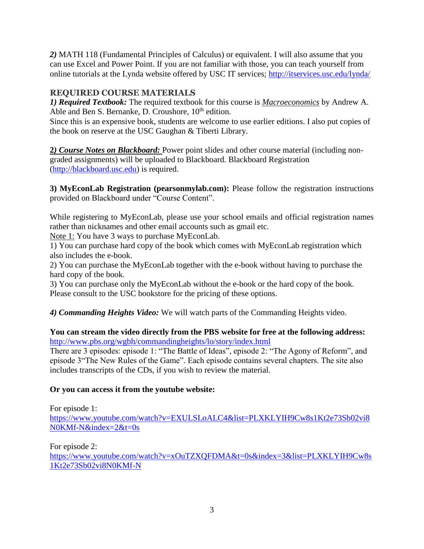*2)* MATH 118 (Fundamental Principles of Calculus) or equivalent. I will also assume that you can use Excel and Power Point. If you are not familiar with those, you can teach yourself from online tutorials at the Lynda website offered by USC IT services;<http://itservices.usc.edu/lynda/>

## **REQUIRED COURSE MATERIALS**

*1) Required Textbook:* The required textbook for this course is *Macroeconomics* by Andrew A. Able and Ben S. Bernanke, D. Croushore,  $10<sup>th</sup>$  edition.

Since this is an expensive book, students are welcome to use earlier editions. I also put copies of the book on reserve at the USC Gaughan & Tiberti Library.

**2***) Course Notes on Blackboard:* Power point slides and other course material (including nongraded assignments) will be uploaded to Blackboard. Blackboard Registration [\(http://blackboard.usc.edu\)](http://blackboard.usc.edu/) is required.

**3) MyEconLab Registration (pearsonmylab.com):** Please follow the registration instructions provided on Blackboard under "Course Content".

While registering to MyEconLab, please use your school emails and official registration names rather than nicknames and other email accounts such as gmail etc.

Note 1: You have 3 ways to purchase MyEconLab.

1) You can purchase hard copy of the book which comes with MyEconLab registration which also includes the e-book.

2) You can purchase the MyEconLab together with the e-book without having to purchase the hard copy of the book.

3) You can purchase only the MyEconLab without the e-book or the hard copy of the book. Please consult to the USC bookstore for the pricing of these options.

*4) Commanding Heights Video:* We will watch parts of the Commanding Heights video.

## **You can stream the video directly from the PBS website for free at the following address:** <http://www.pbs.org/wgbh/commandingheights/lo/story/index.html>

There are 3 episodes: episode 1: "The Battle of Ideas", episode 2: "The Agony of Reform", and episode 3"The New Rules of the Game". Each episode contains several chapters. The site also includes transcripts of the CDs, if you wish to review the material.

## **Or you can access it from the youtube website:**

For episode 1: [https://www.youtube.com/watch?v=EXULSLoALC4&list=PLXKLYIH9Cw8s1Kt2e73Sb02vi8](https://www.youtube.com/watch?v=EXULSLoALC4&list=PLXKLYIH9Cw8s1Kt2e73Sb02vi8N0KMf-N&index=2&t=0s) [N0KMf-N&index=2&t=0s](https://www.youtube.com/watch?v=EXULSLoALC4&list=PLXKLYIH9Cw8s1Kt2e73Sb02vi8N0KMf-N&index=2&t=0s)

For episode 2: [https://www.youtube.com/watch?v=xOuTZXQFDMA&t=0s&index=3&list=PLXKLYIH9Cw8s](https://www.youtube.com/watch?v=xOuTZXQFDMA&t=0s&index=3&list=PLXKLYIH9Cw8s1Kt2e73Sb02vi8N0KMf-N) [1Kt2e73Sb02vi8N0KMf-N](https://www.youtube.com/watch?v=xOuTZXQFDMA&t=0s&index=3&list=PLXKLYIH9Cw8s1Kt2e73Sb02vi8N0KMf-N)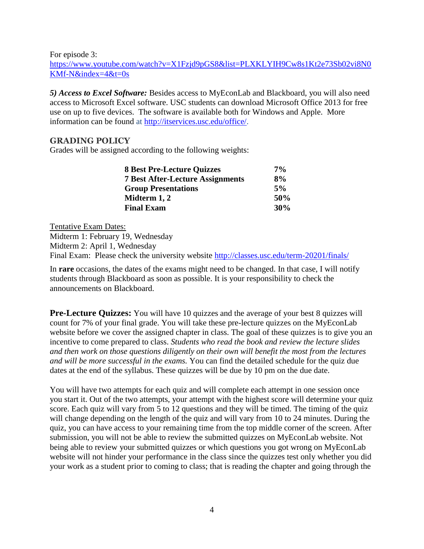For episode 3:

https://www.youtube.com/watch?v=X1Fzjd9pGS8&list=PLXKLYIH9Cw8s1Kt2e73Sb02vi8N0 KMf-N&index=4&t=0s

*5) Access to Excel Software:* Besides access to MyEconLab and Blackboard, you will also need access to Microsoft Excel software. USC students can download Microsoft Office 2013 for free use on up to five devices. The software is available both for Windows and Apple. More information can be found at [http://itservices.usc.edu/office/.](https://mail.marshall.usc.edu/owa/redir.aspx?C=NofPGfwyikOnHVn6WZTSuFwA486h-tEIyQuo36rpnF1ws-xocoajl2wtpn2NHXS95XES4RcSDbs.&URL=http%3a%2f%2fitservices.usc.edu%2foffice%2f)

#### **GRADING POLICY**

Grades will be assigned according to the following weights:

| <b>8 Best Pre-Lecture Quizzes</b>       | $7\%$ |
|-----------------------------------------|-------|
| <b>7 Best After-Lecture Assignments</b> | 8%    |
| <b>Group Presentations</b>              | $5\%$ |
| Midterm 1, 2                            | 50%   |
| <b>Final Exam</b>                       | 30%   |

Tentative Exam Dates: Midterm 1: February 19, Wednesday Midterm 2: April 1, Wednesday Final Exam: Please check the university website <http://classes.usc.edu/term-20201/finals/>

In **rare** occasions, the dates of the exams might need to be changed. In that case, I will notify students through Blackboard as soon as possible. It is your responsibility to check the announcements on Blackboard.

**Pre-Lecture Quizzes:** You will have 10 quizzes and the average of your best 8 quizzes will count for 7% of your final grade. You will take these pre-lecture quizzes on the MyEconLab website before we cover the assigned chapter in class. The goal of these quizzes is to give you an incentive to come prepared to class. *Students who read the book and review the lecture slides and then work on those questions diligently on their own will benefit the most from the lectures and will be more successful in the exams.* You can find the detailed schedule for the quiz due dates at the end of the syllabus. These quizzes will be due by 10 pm on the due date.

You will have two attempts for each quiz and will complete each attempt in one session once you start it. Out of the two attempts, your attempt with the highest score will determine your quiz score. Each quiz will vary from 5 to 12 questions and they will be timed. The timing of the quiz will change depending on the length of the quiz and will vary from 10 to 24 minutes. During the quiz, you can have access to your remaining time from the top middle corner of the screen. After submission, you will not be able to review the submitted quizzes on MyEconLab website. Not being able to review your submitted quizzes or which questions you got wrong on MyEconLab website will not hinder your performance in the class since the quizzes test only whether you did your work as a student prior to coming to class; that is reading the chapter and going through the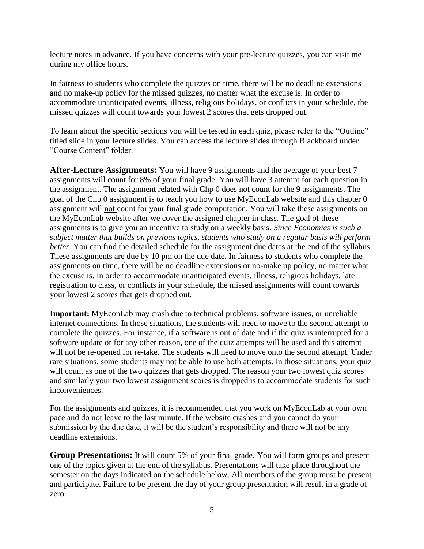lecture notes in advance. If you have concerns with your pre-lecture quizzes, you can visit me during my office hours.

In fairness to students who complete the quizzes on time, there will be no deadline extensions and no make-up policy for the missed quizzes, no matter what the excuse is. In order to accommodate unanticipated events, illness, religious holidays, or conflicts in your schedule, the missed quizzes will count towards your lowest 2 scores that gets dropped out.

To learn about the specific sections you will be tested in each quiz, please refer to the "Outline" titled slide in your lecture slides. You can access the lecture slides through Blackboard under "Course Content" folder.

**After-Lecture Assignments:** You will have 9 assignments and the average of your best 7 assignments will count for 8% of your final grade. You will have 3 attempt for each question in the assignment. The assignment related with Chp 0 does not count for the 9 assignments. The goal of the Chp 0 assignment is to teach you how to use MyEconLab website and this chapter 0 assignment will not count for your final grade computation. You will take these assignments on the MyEconLab website after we cover the assigned chapter in class. The goal of these assignments is to give you an incentive to study on a weekly basis. *Since Economics is such a subject matter that builds on previous topics, students who study on a regular basis will perform better.* You can find the detailed schedule for the assignment due dates at the end of the syllabus. These assignments are due by 10 pm on the due date. In fairness to students who complete the assignments on time, there will be no deadline extensions or no-make up policy, no matter what the excuse is. In order to accommodate unanticipated events, illness, religious holidays, late registration to class, or conflicts in your schedule, the missed assignments will count towards your lowest 2 scores that gets dropped out.

**Important:** MyEconLab may crash due to technical problems, software issues, or unreliable internet connections. In those situations, the students will need to move to the second attempt to complete the quizzes. For instance, if a software is out of date and if the quiz is interrupted for a software update or for any other reason, one of the quiz attempts will be used and this attempt will not be re-opened for re-take. The students will need to move onto the second attempt. Under rare situations, some students may not be able to use both attempts. In those situations, your quiz will count as one of the two quizzes that gets dropped. The reason your two lowest quiz scores and similarly your two lowest assignment scores is dropped is to accommodate students for such inconveniences.

For the assignments and quizzes, it is recommended that you work on MyEconLab at your own pace and do not leave to the last minute. If the website crashes and you cannot do your submission by the due date, it will be the student's responsibility and there will not be any deadline extensions.

**Group Presentations:** It will count 5% of your final grade. You will form groups and present one of the topics given at the end of the syllabus. Presentations will take place throughout the semester on the days indicated on the schedule below. All members of the group must be present and participate. Failure to be present the day of your group presentation will result in a grade of zero.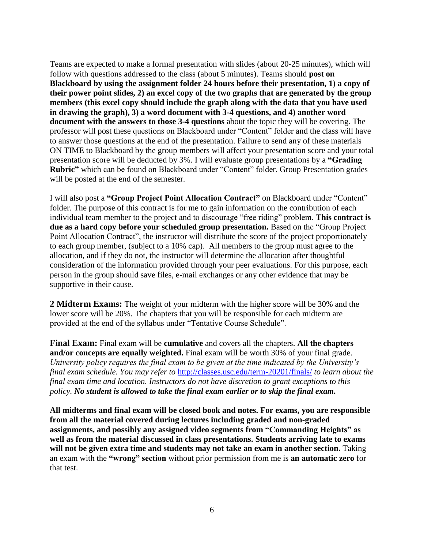Teams are expected to make a formal presentation with slides (about 20-25 minutes), which will follow with questions addressed to the class (about 5 minutes). Teams should **post on Blackboard by using the assignment folder 24 hours before their presentation, 1) a copy of their power point slides, 2) an excel copy of the two graphs that are generated by the group members (this excel copy should include the graph along with the data that you have used in drawing the graph), 3) a word document with 3-4 questions, and 4) another word document with the answers to those 3-4 questions** about the topic they will be covering. The professor will post these questions on Blackboard under "Content" folder and the class will have to answer those questions at the end of the presentation. Failure to send any of these materials ON TIME to Blackboard by the group members will affect your presentation score and your total presentation score will be deducted by 3%. I will evaluate group presentations by a **"Grading Rubric"** which can be found on Blackboard under "Content" folder. Group Presentation grades will be posted at the end of the semester.

I will also post a **"Group Project Point Allocation Contract"** on Blackboard under "Content" folder. The purpose of this contract is for me to gain information on the contribution of each individual team member to the project and to discourage "free riding" problem. **This contract is due as a hard copy before your scheduled group presentation.** Based on the "Group Project Point Allocation Contract", the instructor will distribute the score of the project proportionately to each group member, (subject to a 10% cap). All members to the group must agree to the allocation, and if they do not, the instructor will determine the allocation after thoughtful consideration of the information provided through your peer evaluations. For this purpose, each person in the group should save files, e-mail exchanges or any other evidence that may be supportive in their cause.

**2 Midterm Exams:** The weight of your midterm with the higher score will be 30% and the lower score will be 20%. The chapters that you will be responsible for each midterm are provided at the end of the syllabus under "Tentative Course Schedule".

**Final Exam:** Final exam will be **cumulative** and covers all the chapters. **All the chapters and/or concepts are equally weighted.** Final exam will be worth 30% of your final grade. *University policy requires the final exam to be given at the time indicated by the University's final exam schedule. You may refer to* <http://classes.usc.edu/term-20201/finals/> *to learn about the final exam time and location. Instructors do not have discretion to grant exceptions to this policy. No student is allowed to take the final exam earlier or to skip the final exam.* 

**All midterms and final exam will be closed book and notes. For exams, you are responsible from all the material covered during lectures including graded and non-graded assignments, and possibly any assigned video segments from "Commanding Heights" as well as from the material discussed in class presentations. Students arriving late to exams**  will not be given extra time and students may not take an exam in another section. Taking an exam with the **"wrong" section** without prior permission from me is **an automatic zero** for that test.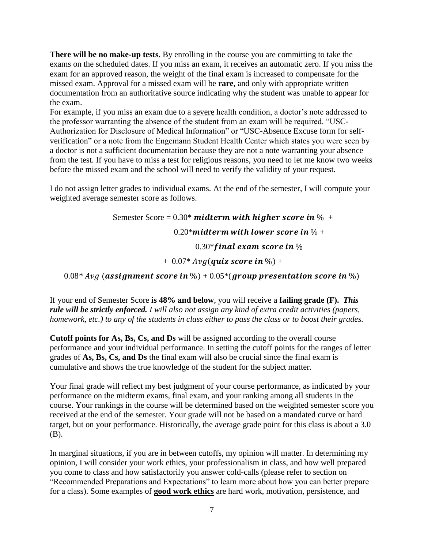**There will be no make-up tests.** By enrolling in the course you are committing to take the exams on the scheduled dates. If you miss an exam, it receives an automatic zero. If you miss the exam for an approved reason, the weight of the final exam is increased to compensate for the missed exam. Approval for a missed exam will be **rare**, and only with appropriate written documentation from an authoritative source indicating why the student was unable to appear for the exam.

For example, if you miss an exam due to a severe health condition, a doctor's note addressed to the professor warranting the absence of the student from an exam will be required. "USC-Authorization for Disclosure of Medical Information" or "USC-Absence Excuse form for selfverification" or a note from the Engemann Student Health Center which states you were seen by a doctor is not a sufficient documentation because they are not a note warranting your absence from the test. If you have to miss a test for religious reasons, you need to let me know two weeks before the missed exam and the school will need to verify the validity of your request.

I do not assign letter grades to individual exams. At the end of the semester, I will compute your weighted average semester score as follows.

> Semester Score =  $0.30^*$  midterm with higher score in  $\%$  + 0.20\* midterm with lower score in  $\%$  +  $0.30*$  final exam score in  $\%$  $+ 0.07*$  Avg(quiz score in %) +

 $0.08*$  *Avg* (assignment score in %) +  $0.05*$  (group presentation score in %)

If your end of Semester Score **is 48% and below**, you will receive a **failing grade (F).** *This rule will be strictly enforced. I will also not assign any kind of extra credit activities (papers, homework, etc.) to any of the students in class either to pass the class or to boost their grades.* 

**Cutoff points for As, Bs, Cs, and Ds** will be assigned according to the overall course performance and your individual performance. In setting the cutoff points for the ranges of letter grades of **As, Bs, Cs, and Ds** the final exam will also be crucial since the final exam is cumulative and shows the true knowledge of the student for the subject matter.

Your final grade will reflect my best judgment of your course performance, as indicated by your performance on the midterm exams, final exam, and your ranking among all students in the course. Your rankings in the course will be determined based on the weighted semester score you received at the end of the semester. Your grade will not be based on a mandated curve or hard target, but on your performance. Historically, the average grade point for this class is about a 3.0 (B).

In marginal situations, if you are in between cutoffs, my opinion will matter. In determining my opinion, I will consider your work ethics, your professionalism in class, and how well prepared you come to class and how satisfactorily you answer cold-calls (please refer to section on "Recommended Preparations and Expectations" to learn more about how you can better prepare for a class). Some examples of **good work ethics** are hard work, motivation, persistence, and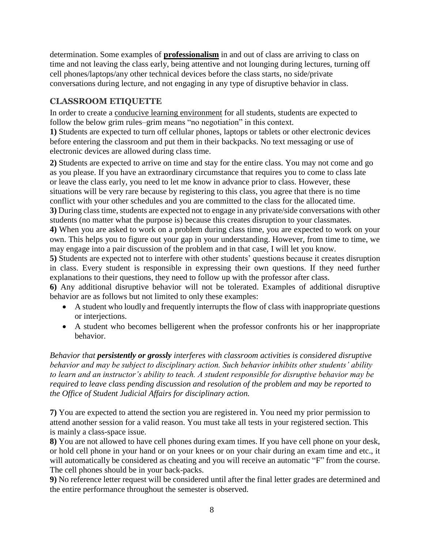determination. Some examples of **professionalism** in and out of class are arriving to class on time and not leaving the class early, being attentive and not lounging during lectures, turning off cell phones/laptops/any other technical devices before the class starts, no side/private conversations during lecture, and not engaging in any type of disruptive behavior in class.

## **CLASSROOM ETIQUETTE**

In order to create a conducive learning environment for all students, students are expected to follow the below grim rules–grim means "no negotiation" in this context.

**1)** Students are expected to turn off cellular phones, laptops or tablets or other electronic devices before entering the classroom and put them in their backpacks. No text messaging or use of electronic devices are allowed during class time.

**2)** Students are expected to arrive on time and stay for the entire class. You may not come and go as you please. If you have an extraordinary circumstance that requires you to come to class late or leave the class early, you need to let me know in advance prior to class. However, these situations will be very rare because by registering to this class, you agree that there is no time conflict with your other schedules and you are committed to the class for the allocated time. **3)** During class time, students are expected not to engage in any private/side conversations with other

students (no matter what the purpose is) because this creates disruption to your classmates. **4)** When you are asked to work on a problem during class time, you are expected to work on your own. This helps you to figure out your gap in your understanding. However, from time to time, we may engage into a pair discussion of the problem and in that case, I will let you know.

**5)** Students are expected not to interfere with other students' questions because it creates disruption in class. Every student is responsible in expressing their own questions. If they need further explanations to their questions, they need to follow up with the professor after class.

**6)** Any additional disruptive behavior will not be tolerated. Examples of additional disruptive behavior are as follows but not limited to only these examples:

- A student who loudly and frequently interrupts the flow of class with inappropriate questions or interjections.
- A student who becomes belligerent when the professor confronts his or her inappropriate behavior.

*Behavior that persistently or grossly interferes with classroom activities is considered disruptive behavior and may be subject to disciplinary action. Such behavior inhibits other students' ability to learn and an instructor's ability to teach. A student responsible for disruptive behavior may be required to leave class pending discussion and resolution of the problem and may be reported to the Office of Student Judicial Affairs for disciplinary action.* 

**7)** You are expected to attend the section you are registered in. You need my prior permission to attend another session for a valid reason. You must take all tests in your registered section. This is mainly a class-space issue.

**8)** You are not allowed to have cell phones during exam times. If you have cell phone on your desk, or hold cell phone in your hand or on your knees or on your chair during an exam time and etc., it will automatically be considered as cheating and you will receive an automatic "F" from the course. The cell phones should be in your back-packs.

**9)** No reference letter request will be considered until after the final letter grades are determined and the entire performance throughout the semester is observed.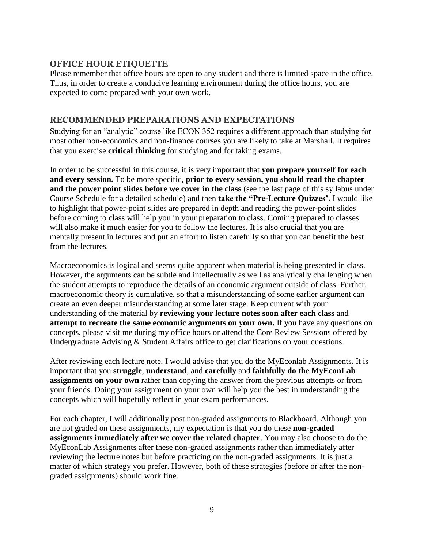#### **OFFICE HOUR ETIQUETTE**

Please remember that office hours are open to any student and there is limited space in the office. Thus, in order to create a conducive learning environment during the office hours, you are expected to come prepared with your own work.

#### **RECOMMENDED PREPARATIONS AND EXPECTATIONS**

Studying for an "analytic" course like ECON 352 requires a different approach than studying for most other non-economics and non-finance courses you are likely to take at Marshall. It requires that you exercise **critical thinking** for studying and for taking exams.

In order to be successful in this course, it is very important that **you prepare yourself for each and every session.** To be more specific, **prior to every session, you should read the chapter and the power point slides before we cover in the class** (see the last page of this syllabus under Course Schedule for a detailed schedule) and then **take the "Pre-Lecture Quizzes'.** I would like to highlight that power-point slides are prepared in depth and reading the power-point slides before coming to class will help you in your preparation to class. Coming prepared to classes will also make it much easier for you to follow the lectures. It is also crucial that you are mentally present in lectures and put an effort to listen carefully so that you can benefit the best from the lectures.

Macroeconomics is logical and seems quite apparent when material is being presented in class. However, the arguments can be subtle and intellectually as well as analytically challenging when the student attempts to reproduce the details of an economic argument outside of class. Further, macroeconomic theory is cumulative, so that a misunderstanding of some earlier argument can create an even deeper misunderstanding at some later stage. Keep current with your understanding of the material by **reviewing your lecture notes soon after each class** and **attempt to recreate the same economic arguments on your own.** If you have any questions on concepts, please visit me during my office hours or attend the Core Review Sessions offered by Undergraduate Advising & Student Affairs office to get clarifications on your questions.

After reviewing each lecture note, I would advise that you do the MyEconlab Assignments. It is important that you **struggle**, **understand**, and **carefully** and **faithfully do the MyEconLab assignments on your own** rather than copying the answer from the previous attempts or from your friends. Doing your assignment on your own will help you the best in understanding the concepts which will hopefully reflect in your exam performances.

For each chapter, I will additionally post non-graded assignments to Blackboard. Although you are not graded on these assignments, my expectation is that you do these **non-graded assignments immediately after we cover the related chapter**. You may also choose to do the MyEconLab Assignments after these non-graded assignments rather than immediately after reviewing the lecture notes but before practicing on the non-graded assignments. It is just a matter of which strategy you prefer. However, both of these strategies (before or after the nongraded assignments) should work fine.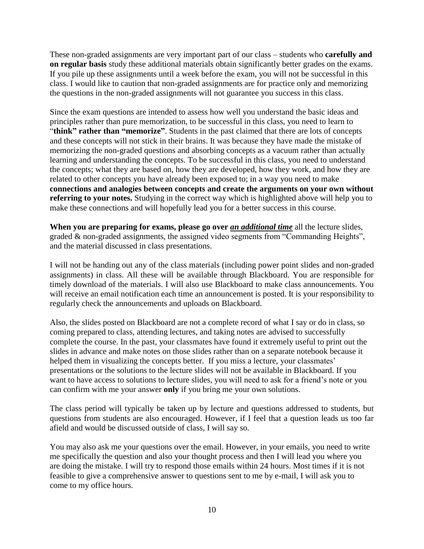These non-graded assignments are very important part of our class – students who **carefully and on regular basis** study these additional materials obtain significantly better grades on the exams. If you pile up these assignments until a week before the exam, you will not be successful in this class. I would like to caution that non-graded assignments are for practice only and memorizing the questions in the non-graded assignments will not guarantee you success in this class.

Since the exam questions are intended to assess how well you understand the basic ideas and principles rather than pure memorization, to be successful in this class, you need to learn to "**think" rather than "memorize"**. Students in the past claimed that there are lots of concepts and these concepts will not stick in their brains. It was because they have made the mistake of memorizing the non-graded questions and absorbing concepts as a vacuum rather than actually learning and understanding the concepts. To be successful in this class, you need to understand the concepts; what they are based on, how they are developed, how they work, and how they are related to other concepts you have already been exposed to; in a way you need to make **connections and analogies between concepts and create the arguments on your own without referring to your notes.** Studying in the correct way which is highlighted above will help you to make these connections and will hopefully lead you for a better success in this course.

**When you are preparing for exams, please go over** *an additional time* all the lecture slides, graded & non-graded assignments, the assigned video segments from "Commanding Heights", and the material discussed in class presentations.

I will not be handing out any of the class materials (including power point slides and non-graded assignments) in class. All these will be available through Blackboard. You are responsible for timely download of the materials. I will also use Blackboard to make class announcements. You will receive an email notification each time an announcement is posted. It is your responsibility to regularly check the announcements and uploads on Blackboard.

Also, the slides posted on Blackboard are not a complete record of what I say or do in class, so coming prepared to class, attending lectures, and taking notes are advised to successfully complete the course. In the past, your classmates have found it extremely useful to print out the slides in advance and make notes on those slides rather than on a separate notebook because it helped them in visualizing the concepts better. If you miss a lecture, your classmates' presentations or the solutions to the lecture slides will not be available in Blackboard. If you want to have access to solutions to lecture slides, you will need to ask for a friend's note or you can confirm with me your answer **only** if you bring me your own solutions.

The class period will typically be taken up by lecture and questions addressed to students, but questions from students are also encouraged. However, if I feel that a question leads us too far afield and would be discussed outside of class, I will say so.

You may also ask me your questions over the email. However, in your emails, you need to write me specifically the question and also your thought process and then I will lead you where you are doing the mistake. I will try to respond those emails within 24 hours. Most times if it is not feasible to give a comprehensive answer to questions sent to me by e-mail, I will ask you to come to my office hours.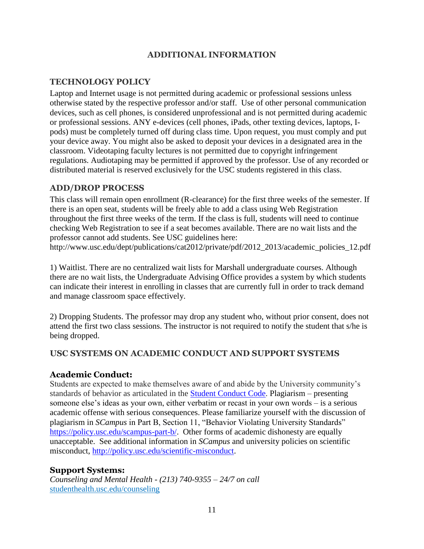## **ADDITIONAL INFORMATION**

#### **TECHNOLOGY POLICY**

Laptop and Internet usage is not permitted during academic or professional sessions unless otherwise stated by the respective professor and/or staff. Use of other personal communication devices, such as cell phones, is considered unprofessional and is not permitted during academic or professional sessions. ANY e-devices (cell phones, iPads, other texting devices, laptops, Ipods) must be completely turned off during class time. Upon request, you must comply and put your device away. You might also be asked to deposit your devices in a designated area in the classroom. Videotaping faculty lectures is not permitted due to copyright infringement regulations. Audiotaping may be permitted if approved by the professor. Use of any recorded or distributed material is reserved exclusively for the USC students registered in this class.

#### **ADD/DROP PROCESS**

This class will remain open enrollment (R-clearance) for the first three weeks of the semester. If there is an open seat, students will be freely able to add a class using Web Registration throughout the first three weeks of the term. If the class is full, students will need to continue checking Web Registration to see if a seat becomes available. There are no wait lists and the professor cannot add students. See USC guidelines here: http://www.usc.edu/dept/publications/cat2012/private/pdf/2012\_2013/academic\_policies\_12.pdf

1) Waitlist. There are no centralized wait lists for Marshall undergraduate courses. Although there are no wait lists, the Undergraduate Advising Office provides a system by which students can indicate their interest in enrolling in classes that are currently full in order to track demand and manage classroom space effectively.

2) Dropping Students. The professor may drop any student who, without prior consent, does not attend the first two class sessions. The instructor is not required to notify the student that s/he is being dropped.

#### **USC SYSTEMS ON ACADEMIC CONDUCT AND SUPPORT SYSTEMS**

#### **Academic Conduct:**

Students are expected to make themselves aware of and abide by the University community's standards of behavior as articulated in the [Student Conduct Code.](https://policy.usc.edu/scampus-part-b/) Plagiarism – presenting someone else's ideas as your own, either verbatim or recast in your own words – is a serious academic offense with serious consequences. Please familiarize yourself with the discussion of plagiarism in *SCampus* in Part B, Section 11, "Behavior Violating University Standards" [https://policy.usc.edu/scampus-part-b/.](https://policy.usc.edu/scampus-part-b/) Other forms of academic dishonesty are equally unacceptable. See additional information in *SCampus* and university policies on scientific misconduct, [http://policy.usc.edu/scientific-misconduct.](http://policy.usc.edu/scientific-misconduct/)

#### **Support Systems:**

*Counseling and Mental Health - (213) 740-9355 – 24/7 on call* [studenthealth.usc.edu/counseling](https://studenthealth.usc.edu/counseling/)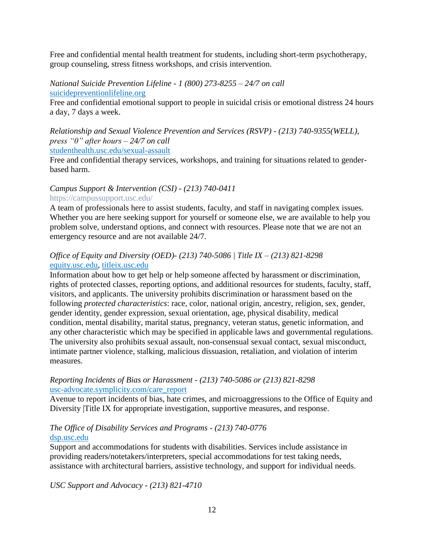Free and confidential mental health treatment for students, including short-term psychotherapy, group counseling, stress fitness workshops, and crisis intervention.

*National Suicide Prevention Lifeline - 1 (800) 273-8255 – 24/7 on call* [suicidepreventionlifeline.org](http://www.suicidepreventionlifeline.org/)

Free and confidential emotional support to people in suicidal crisis or emotional distress 24 hours a day, 7 days a week.

*Relationship and Sexual Violence Prevention and Services (RSVP) - (213) 740-9355(WELL), press "0" after hours – 24/7 on call* [studenthealth.usc.edu/sexual-assault](https://studenthealth.usc.edu/sexual-assault/)

Free and confidential therapy services, workshops, and training for situations related to genderbased harm[.](https://engemannshc.usc.edu/rsvp/)

#### *Campus Support & Intervention (CSI) - (213) 740-0411*  https://campussupport.usc.edu/

A team of professionals here to assist students, faculty, and staff in navigating complex issues. Whether you are here seeking support for yourself or someone else, we are available to help you problem solve, understand options, and connect with resources. Please note that we are not an emergency resource and are not available 24/7.

#### *Office of Equity and Diversity (OED)- (213) 740-5086 | Title IX – (213) 821-8298* [equity.usc.edu,](https://equity.usc.edu/) [titleix.usc.edu](http://titleix.usc.edu/)

Information about how to get help or help someone affected by harassment or discrimination, rights of protected classes, reporting options, and additional resources for students, faculty, staff, visitors, and applicants. The university prohibits discrimination or harassment based on the following *protected characteristics*: race, color, national origin, ancestry, religion, sex, gender, gender identity, gender expression, sexual orientation, age, physical disability, medical condition, mental disability, marital status, pregnancy, veteran status, genetic information, and any other characteristic which may be specified in applicable laws and governmental regulations. The university also prohibits sexual assault, non-consensual sexual contact, sexual misconduct, intimate partner violence, stalking, malicious dissuasion, retaliation, and violation of interim measures.

#### *Reporting Incidents of Bias or Harassment - (213) 740-5086 or (213) 821-8298* [usc-advocate.symplicity.com/care\\_report](https://usc-advocate.symplicity.com/care_report/)

Avenue to report incidents of bias, hate crimes, and microaggressions to the Office of Equity and Diversity |Title IX for appropriate investigation, supportive measures, and response[.](https://studentaffairs.usc.edu/bias-assessment-response-support/)

## *The Office of Disability Services and Programs - (213) 740-0776* [dsp.usc.edu](http://dsp.usc.edu/)

Support and accommodations for students with disabilities. Services include assistance in providing readers/notetakers/interpreters, special accommodations for test taking needs, assistance with architectural barriers, assistive technology, and support for individual needs.

*USC Support and Advocacy - (213) 821-4710*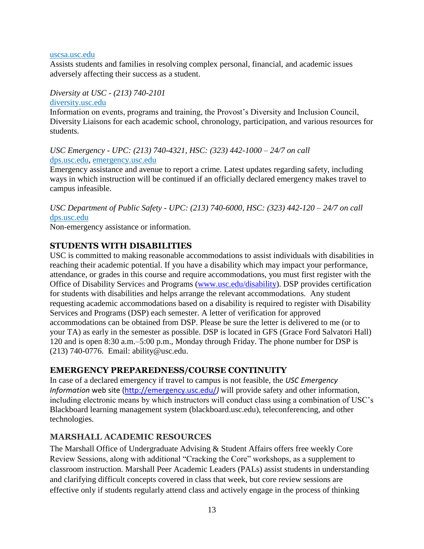#### [uscsa.usc.edu](https://uscsa.usc.edu/)

Assists students and families in resolving complex personal, financial, and academic issues adversely affecting their success as a student.

#### *Diversity at USC - (213) 740-2101* [diversity.usc.edu](https://diversity.usc.edu/)

Information on events, programs and training, the Provost's Diversity and Inclusion Council, Diversity Liaisons for each academic school, chronology, participation, and various resources for students.

#### *USC Emergency - UPC: (213) 740-4321, HSC: (323) 442-1000 – 24/7 on call*  [dps.usc.edu,](http://dps.usc.edu/) [emergency.usc.edu](http://emergency.usc.edu/)

Emergency assistance and avenue to report a crime. Latest updates regarding safety, including ways in which instruction will be continued if an officially declared emergency makes travel to campus infeasible.

*USC Department of Public Safety - UPC: (213) 740-6000, HSC: (323) 442-120 – 24/7 on call*  [dps.usc.edu](http://dps.usc.edu/)

Non-emergency assistance or information.

## **STUDENTS WITH DISABILITIES**

USC is committed to making reasonable accommodations to assist individuals with disabilities in reaching their academic potential. If you have a disability which may impact your performance, attendance, or grades in this course and require accommodations, you must first register with the Office of Disability Services and Programs [\(www.usc.edu/disability\)](http://www.usc.edu/disability). DSP provides certification for students with disabilities and helps arrange the relevant accommodations. Any student requesting academic accommodations based on a disability is required to register with Disability Services and Programs (DSP) each semester. A letter of verification for approved accommodations can be obtained from DSP. Please be sure the letter is delivered to me (or to your TA) as early in the semester as possible. DSP is located in GFS (Grace Ford Salvatori Hall) 120 and is open 8:30 a.m.–5:00 p.m., Monday through Friday. The phone number for DSP is (213) 740-0776. Email: ability@usc.edu.

#### **EMERGENCY PREPAREDNESS/COURSE CONTINUITY**

In case of a declared emergency if travel to campus is not feasible, the *USC Emergency Information* web site [\(http://emergency.usc.edu/](http://emergency.usc.edu/)*)* will provide safety and other information, including electronic means by which instructors will conduct class using a combination of USC's Blackboard learning management system (blackboard.usc.edu), teleconferencing, and other technologies.

#### **MARSHALL ACADEMIC RESOURCES**

The Marshall Office of Undergraduate Advising & Student Affairs offers free weekly Core Review Sessions, along with additional "Cracking the Core" workshops, as a supplement to classroom instruction. Marshall Peer Academic Leaders (PALs) assist students in understanding and clarifying difficult concepts covered in class that week, but core review sessions are effective only if students regularly attend class and actively engage in the process of thinking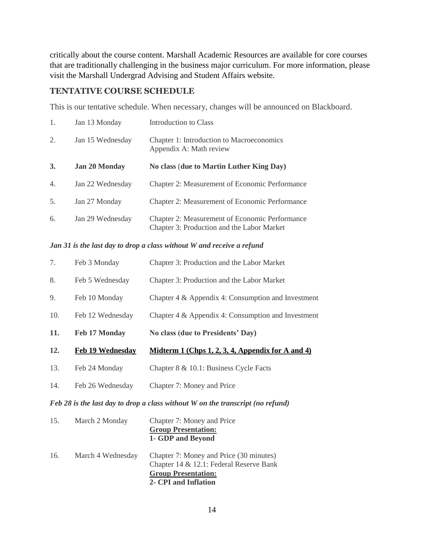critically about the course content. Marshall Academic Resources are available for core courses that are traditionally challenging in the business major curriculum. For more information, please visit the Marshall Undergrad Advising and Student Affairs website.

#### **TENTATIVE COURSE SCHEDULE**

This is our tentative schedule. When necessary, changes will be announced on Blackboard.

| 1.               | Jan 13 Monday        | Introduction to Class                                                                        |
|------------------|----------------------|----------------------------------------------------------------------------------------------|
| 2.               | Jan 15 Wednesday     | Chapter 1: Introduction to Macroeconomics<br>Appendix A: Math review                         |
| 3.               | <b>Jan 20 Monday</b> | No class (due to Martin Luther King Day)                                                     |
| $\overline{4}$ . | Jan 22 Wednesday     | <b>Chapter 2: Measurement of Economic Performance</b>                                        |
| 5.               | Jan 27 Monday        | Chapter 2: Measurement of Economic Performance                                               |
| 6.               | Jan 29 Wednesday     | Chapter 2: Measurement of Economic Performance<br>Chapter 3: Production and the Labor Market |

#### *Jan 31 is the last day to drop a class without W and receive a refund*

| 7.  | Feb 3 Monday            | Chapter 3: Production and the Labor Market          |
|-----|-------------------------|-----------------------------------------------------|
| 8.  | Feb 5 Wednesday         | Chapter 3: Production and the Labor Market          |
| 9.  | Feb 10 Monday           | Chapter 4 & Appendix 4: Consumption and Investment  |
| 10. | Feb 12 Wednesday        | Chapter 4 & Appendix 4: Consumption and Investment  |
|     |                         |                                                     |
| 11. | <b>Feb 17 Monday</b>    | No class (due to Presidents' Day)                   |
| 12. | <b>Feb 19 Wednesday</b> | Midterm $1$ (Chps 1, 2, 3, 4, Appendix for A and 4) |
| 13. | Feb 24 Monday           | Chapter 8 & 10.1: Business Cycle Facts              |

#### *Feb 28 is the last day to drop a class without W on the transcript (no refund)*

| 15. | March 2 Monday    | Chapter 7: Money and Price<br><b>Group Presentation:</b><br>1- GDP and Beyond                                                            |
|-----|-------------------|------------------------------------------------------------------------------------------------------------------------------------------|
| 16. | March 4 Wednesday | Chapter 7: Money and Price (30 minutes)<br>Chapter 14 & 12.1: Federal Reserve Bank<br><b>Group Presentation:</b><br>2- CPI and Inflation |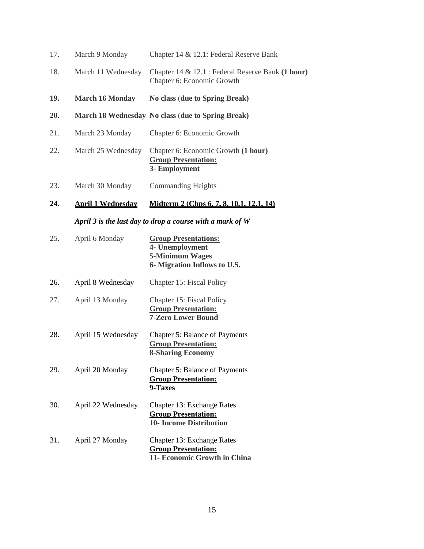| 17. | March 9 Monday           | Chapter 14 & 12.1: Federal Reserve Bank                                                                  |
|-----|--------------------------|----------------------------------------------------------------------------------------------------------|
| 18. | March 11 Wednesday       | Chapter 14 & 12.1 : Federal Reserve Bank (1 hour)<br>Chapter 6: Economic Growth                          |
| 19. | <b>March 16 Monday</b>   | No class (due to Spring Break)                                                                           |
| 20. |                          | March 18 Wednesday No class (due to Spring Break)                                                        |
| 21. | March 23 Monday          | Chapter 6: Economic Growth                                                                               |
| 22. | March 25 Wednesday       | Chapter 6: Economic Growth (1 hour)<br><b>Group Presentation:</b><br>3- Employment                       |
| 23. | March 30 Monday          | <b>Commanding Heights</b>                                                                                |
| 24. | <b>April 1 Wednesday</b> | Midterm 2 (Chps 6, 7, 8, 10.1, 12.1, 14)                                                                 |
|     |                          | April 3 is the last day to drop a course with a mark of $W$                                              |
| 25. | April 6 Monday           | <b>Group Presentations:</b><br>4- Unemployment<br><b>5-Minimum Wages</b><br>6- Migration Inflows to U.S. |
| 26. | April 8 Wednesday        | Chapter 15: Fiscal Policy                                                                                |
| 27. | April 13 Monday          | Chapter 15: Fiscal Policy<br><b>Group Presentation:</b><br><b>7-Zero Lower Bound</b>                     |
| 28. | April 15 Wednesday       | Chapter 5: Balance of Payments<br><b>Group Presentation:</b><br><b>8-Sharing Economy</b>                 |
| 29. | April 20 Monday          | <b>Chapter 5: Balance of Payments</b><br><b>Group Presentation:</b><br>9-Taxes                           |
| 30. | April 22 Wednesday       | Chapter 13: Exchange Rates<br><b>Group Presentation:</b><br><b>10- Income Distribution</b>               |
| 31. | April 27 Monday          | Chapter 13: Exchange Rates<br><b>Group Presentation:</b><br>11- Economic Growth in China                 |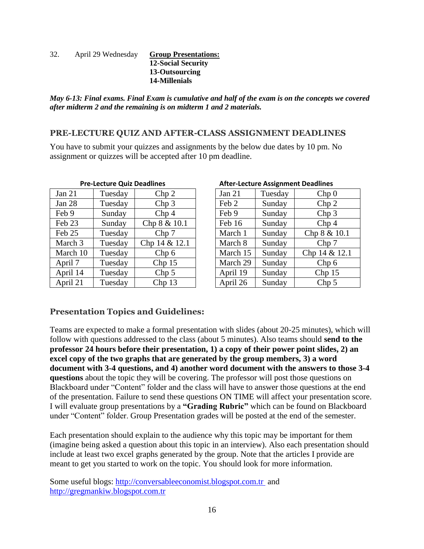32. April 29 Wednesday **Group Presentations: 12-Social Security 13-Outsourcing 14-Millenials**

*May 6-13: Final exams. Final Exam is cumulative and half of the exam is on the concepts we covered after midterm 2 and the remaining is on midterm 1 and 2 materials.*

#### **PRE-LECTURE QUIZ AND AFTER-CLASS ASSIGNMENT DEADLINES**

You have to submit your quizzes and assignments by the below due dates by 10 pm. No assignment or quizzes will be accepted after 10 pm deadline.

| <b>Pre-Lecture Quiz Deadlines</b> |         |                   | <b>After-Lecture Assignment Deadlines</b> |         |                   |
|-----------------------------------|---------|-------------------|-------------------------------------------|---------|-------------------|
| Jan $21$                          | Tuesday | Chp 2             | Jan $21$                                  | Tuesday | Chp <sub>0</sub>  |
| Jan 28                            | Tuesday | Chp <sub>3</sub>  | Feb 2                                     | Sunday  | Chp <sub>2</sub>  |
| Feb 9                             | Sunday  | Chp <sub>4</sub>  | Feb 9                                     | Sunday  | Chp <sub>3</sub>  |
| Feb 23                            | Sunday  | Chp 8 & 10.1      | Feb 16                                    | Sunday  | Chp <sub>4</sub>  |
| Feb 25                            | Tuesday | Chp 7             | March 1                                   | Sunday  | Chp 8 & 10.1      |
| March 3                           | Tuesday | Chp $14 & 12.1$   | March 8                                   | Sunday  | Chp 7             |
| March 10                          | Tuesday | Chp <sub>6</sub>  | March 15                                  | Sunday  | Chp 14 & 12.1     |
| April 7                           | Tuesday | Chp <sub>15</sub> | March 29                                  | Sunday  | Chp <sub>6</sub>  |
| April 14                          | Tuesday | Chp <sub>5</sub>  | April 19                                  | Sunday  | Chp <sub>15</sub> |
| April 21                          | Tuesday | Chp 13            | April 26                                  | Sunday  | Chp <sub>5</sub>  |

| <b>Pre-Lecture Quiz Deadlines</b> |         |                   |  | <b>After-Lecture Assignment Deadlines</b> |         |                   |  |
|-----------------------------------|---------|-------------------|--|-------------------------------------------|---------|-------------------|--|
|                                   | Tuesday | Chp <sub>2</sub>  |  | Jan $21$                                  | Tuesday | Chp <sub>0</sub>  |  |
|                                   | Tuesday | Chp <sub>3</sub>  |  | Feb 2                                     | Sunday  | Chp <sub>2</sub>  |  |
|                                   | Sunday  | Chp <sub>4</sub>  |  | Feb 9                                     | Sunday  | Chp <sub>3</sub>  |  |
|                                   | Sunday  | Chp 8 & 10.1      |  | Feb 16                                    | Sunday  | Chp <sub>4</sub>  |  |
|                                   | Tuesday | Chp 7             |  | March 1                                   | Sunday  | Chp 8 & 10.1      |  |
| $\overline{3}$                    | Tuesday | Chp 14 & 12.1     |  | March 8                                   | Sunday  | Chp 7             |  |
| 10                                | Tuesday | Chp <sub>6</sub>  |  | March 15                                  | Sunday  | Chp 14 & 12.1     |  |
|                                   | Tuesday | Chp <sub>15</sub> |  | March 29                                  | Sunday  | Chp <sub>6</sub>  |  |
| 4                                 | Tuesday | Chp <sub>5</sub>  |  | April 19                                  | Sunday  | Chp <sub>15</sub> |  |
| $\mathbf 1$                       | Tuesday | Chp 13            |  | April 26                                  | Sunday  | Chp <sub>5</sub>  |  |

#### **Presentation Topics and Guidelines:**

Teams are expected to make a formal presentation with slides (about 20-25 minutes), which will follow with questions addressed to the class (about 5 minutes). Also teams should **send to the professor 24 hours before their presentation, 1) a copy of their power point slides, 2) an excel copy of the two graphs that are generated by the group members, 3) a word document with 3-4 questions, and 4) another word document with the answers to those 3-4 questions** about the topic they will be covering. The professor will post those questions on Blackboard under "Content" folder and the class will have to answer those questions at the end of the presentation. Failure to send these questions ON TIME will affect your presentation score. I will evaluate group presentations by a **"Grading Rubric"** which can be found on Blackboard under "Content" folder. Group Presentation grades will be posted at the end of the semester.

Each presentation should explain to the audience why this topic may be important for them (imagine being asked a question about this topic in an interview). Also each presentation should include at least two excel graphs generated by the group. Note that the articles I provide are meant to get you started to work on the topic. You should look for more information.

Some useful blogs: [http://conversableeconomist.blogspot.com.tr](http://conversableeconomist.blogspot.com.tr/) and [http://gregmankiw.blogspot.com.tr](http://gregmankiw.blogspot.com.tr/)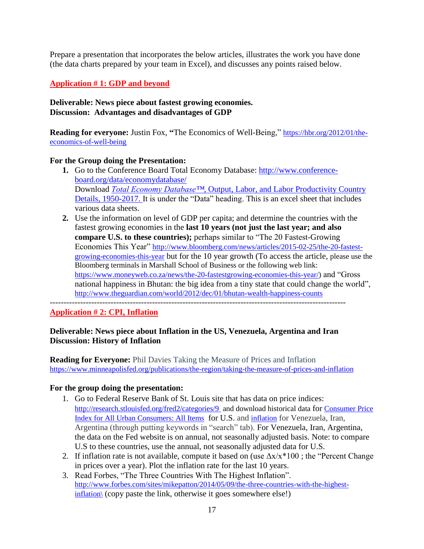Prepare a presentation that incorporates the below articles, illustrates the work you have done (the data charts prepared by your team in Excel), and discusses any points raised below.

## **Application # 1: GDP and beyond**

#### **Deliverable: News piece about fastest growing economies. Discussion: Advantages and disadvantages of GDP**

**Reading for everyone:** Justin Fox, **"**The Economics of Well-Being," [https://hbr.org/2012/01/the](https://hbr.org/2012/01/the-economics-of-well-being)[economics-of-well-being](https://hbr.org/2012/01/the-economics-of-well-being)

#### **For the Group doing the Presentation:**

- **1.** Go to the Conference Board Total Economy Database: [http://www.conference](http://www.conference-board.org/data/economydatabase/)[board.org/data/economydatabase/](http://www.conference-board.org/data/economydatabase/) Download *Total Economy Database™*, Output, Labor, and Labor Productivity Country Details, 1950-2017. It is under the "Data" heading. This is an excel sheet that includes various data sheets.
- **2.** Use the information on level of GDP per capita; and determine the countries with the fastest growing economies in the **last 10 years (not just the last year; and also compare U.S. to these countries);** perhaps similar to "The 20 Fastest-Growing Economies This Year" [http://www.bloomberg.com/news/articles/2015-02-25/the-20-fastest](http://www.bloomberg.com/news/articles/2015-02-25/the-20-fastest-growing-economies-this-year)[growing-economies-this-year](http://www.bloomberg.com/news/articles/2015-02-25/the-20-fastest-growing-economies-this-year) but for the 10 year growth (To access the article, please use the Bloomberg terminals in Marshall School of Business or the following web link: https://www.moneyweb.co.za/news/the-20-fastestgrowing-economies-this-year/) and "Gross national happiness in Bhutan: the big idea from a tiny state that could change the world", <http://www.theguardian.com/world/2012/dec/01/bhutan-wealth-happiness-counts>

-----------------------------------------------------------------------------------------------------------

#### **Application # 2: CPI, Inflation**

#### **Deliverable: News piece about Inflation in the US, Venezuela, Argentina and Iran Discussion: History of Inflation**

**Reading for Everyone:** [Phil Davies](https://www.minneapolisfed.org/authors/phil-davies) Taking the Measure of Prices and Inflation <https://www.minneapolisfed.org/publications/the-region/taking-the-measure-of-prices-and-inflation>

#### **For the group doing the presentation:**

- 1. Go to Federal Reserve Bank of St. Louis site that has data on price indices: <http://research.stlouisfed.org/fred2/categories/9> and download historical data for [Consumer Price](http://research.stlouisfed.org/fred2/series/CPIAUCSL?cid=9)  [Index for All Urban Consumers: All Items](http://research.stlouisfed.org/fred2/series/CPIAUCSL?cid=9) for U.S. and inflation for Venezuela, Iran, Argentina (through putting keywords in "search" tab). For Venezuela, Iran, Argentina, the data on the Fed website is on annual, not seasonally adjusted basis. Note: to compare U.S to these countries, use the annual, not seasonally adjusted data for U.S.
- 2. If inflation rate is not available, compute it based on (use  $\Delta x/x*100$ ; the "Percent Change" in prices over a year). Plot the inflation rate for the last 10 years.
- 3. Read Forbes, "The Three Countries With The Highest Inflation". [http://www.forbes.com/sites/mikepatton/2014/05/09/the-three-countries-with-the-highest](http://www.forbes.com/sites/mikepatton/2014/05/09/the-three-countries-with-the-highest-inflation/)[inflation\](http://www.forbes.com/sites/mikepatton/2014/05/09/the-three-countries-with-the-highest-inflation/) (copy paste the link, otherwise it goes somewhere else!)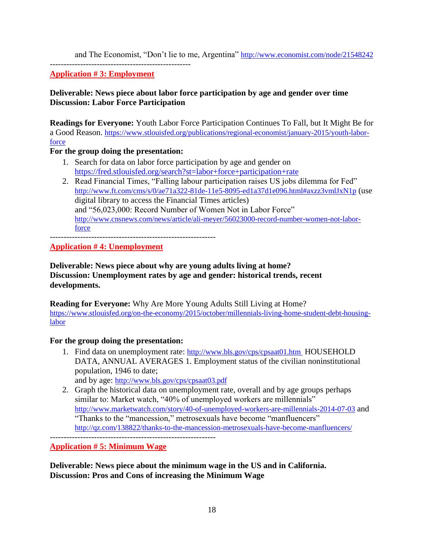and The Economist, "Don't lie to me, Argentina" <http://www.economist.com/node/21548242>

**Application # 3: Employment**

---------------------------------------------------

## **Deliverable: News piece about labor force participation by age and gender over time Discussion: Labor Force Participation**

**Readings for Everyone:** Youth Labor Force Participation Continues To Fall, but It Might Be for a Good Reason. [https://www.stlouisfed.org/publications/regional-economist/january-2015/youth-labor](https://www.stlouisfed.org/publications/regional-economist/january-2015/youth-labor-force)[force](https://www.stlouisfed.org/publications/regional-economist/january-2015/youth-labor-force)

#### **For the group doing the presentation:**

- 1. Search for data on labor force participation by age and gender on <https://fred.stlouisfed.org/search?st=labor+force+participation+rate>
- 2. Read Financial Times, "Falling labour participation raises US jobs dilemma for Fed" <http://www.ft.com/cms/s/0/ae71a322-81de-11e5-8095-ed1a37d1e096.html#axzz3vmlJxN1p> (use digital library to access the Financial Times articles) and "56,023,000: Record Number of Women Not in Labor Force" [http://www.cnsnews.com/news/article/ali-meyer/56023000-record-number-women-not-labor](http://www.cnsnews.com/news/article/ali-meyer/56023000-record-number-women-not-labor-force)[force](http://www.cnsnews.com/news/article/ali-meyer/56023000-record-number-women-not-labor-force)

------------------------------------------------------------

**Application # 4: Unemployment**

**Deliverable: News piece about why are young adults living at home? Discussion: Unemployment rates by age and gender: historical trends, recent developments.** 

**Reading for Everyone:** Why Are More Young Adults Still Living at Home? [https://www.stlouisfed.org/on-the-economy/2015/october/millennials-living-home-student-debt-housing](https://www.stlouisfed.org/on-the-economy/2015/october/millennials-living-home-student-debt-housing-labor)[labor](https://www.stlouisfed.org/on-the-economy/2015/october/millennials-living-home-student-debt-housing-labor)

#### **For the group doing the presentation:**

1. Find data on unemployment rate: <http://www.bls.gov/cps/cpsaat01.htm> HOUSEHOLD DATA, ANNUAL AVERAGES 1. Employment status of the civilian noninstitutional population, 1946 to date;

and by age: <http://www.bls.gov/cps/cpsaat03.pdf>

2. Graph the historical data on unemployment rate, overall and by age groups perhaps similar to: Market watch, "40% of unemployed workers are millennials" <http://www.marketwatch.com/story/40-of-unemployed-workers-are-millennials-2014-07-03> and "Thanks to the "mancession," metrosexuals have become "manfluencers" <http://qz.com/138822/thanks-to-the-mancession-metrosexuals-have-become-manfluencers/>

**Application # 5: Minimum Wage**

**Deliverable: News piece about the minimum wage in the US and in California. Discussion: Pros and Cons of increasing the Minimum Wage**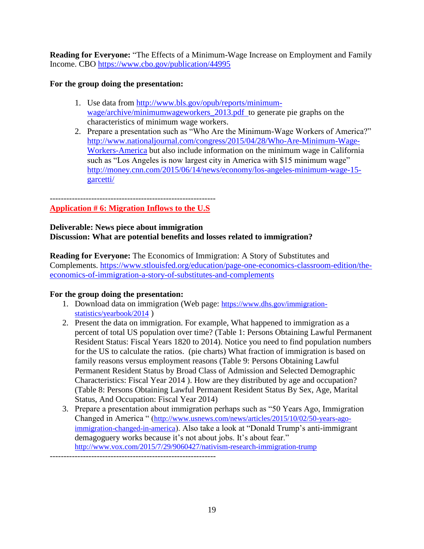**Reading for Everyone:** "The Effects of a Minimum-Wage Increase on Employment and Family Income. CBO <https://www.cbo.gov/publication/44995>

#### **For the group doing the presentation:**

- 1. Use data from [http://www.bls.gov/opub/reports/minimum](http://www.bls.gov/opub/reports/minimum-wage/archive/minimumwageworkers_2013.pdf)[wage/archive/minimumwageworkers\\_2013.pdf](http://www.bls.gov/opub/reports/minimum-wage/archive/minimumwageworkers_2013.pdf) to generate pie graphs on the characteristics of minimum wage workers.
- 2. Prepare a presentation such as "Who Are the Minimum-Wage Workers of America?" [http://www.nationaljournal.com/congress/2015/04/28/Who-Are-Minimum-Wage-](http://www.nationaljournal.com/congress/2015/04/28/Who-Are-Minimum-Wage-Workers-America)[Workers-America](http://www.nationaljournal.com/congress/2015/04/28/Who-Are-Minimum-Wage-Workers-America) but also include information on the minimum wage in California such as "Los Angeles is now largest city in America with \$15 minimum wage" [http://money.cnn.com/2015/06/14/news/economy/los-angeles-minimum-wage-15](http://money.cnn.com/2015/06/14/news/economy/los-angeles-minimum-wage-15-garcetti/) [garcetti/](http://money.cnn.com/2015/06/14/news/economy/los-angeles-minimum-wage-15-garcetti/)

#### ------------------------------------------------------------ **Application # 6: Migration Inflows to the U.S**

# **Deliverable: News piece about immigration**

# **Discussion: What are potential benefits and losses related to immigration?**

**Reading for Everyone:** The Economics of Immigration: A Story of Substitutes and Complements. [https://www.stlouisfed.org/education/page-one-economics-classroom-edition/the](https://www.stlouisfed.org/education/page-one-economics-classroom-edition/the-economics-of-immigration-a-story-of-substitutes-and-complements)[economics-of-immigration-a-story-of-substitutes-and-complements](https://www.stlouisfed.org/education/page-one-economics-classroom-edition/the-economics-of-immigration-a-story-of-substitutes-and-complements)

#### **For the group doing the presentation:**

- 1. Download data on immigration (Web page: [https://www.dhs.gov/immigration](https://www.dhs.gov/immigration-statistics/yearbook/2014)[statistics/yearbook/2014](https://www.dhs.gov/immigration-statistics/yearbook/2014) )
- 2. Present the data on immigration. For example, What happened to immigration as a percent of total US population over time? (Table 1: Persons Obtaining Lawful Permanent Resident Status: Fiscal Years 1820 to 2014). Notice you need to find population numbers for the US to calculate the ratios. (pie charts) What fraction of immigration is based on family reasons versus employment reasons (Table 9: Persons Obtaining Lawful Permanent Resident Status by Broad Class of Admission and Selected Demographic Characteristics: Fiscal Year 2014 ). How are they distributed by age and occupation? (Table 8: Persons Obtaining Lawful Permanent Resident Status By Sex, Age, Marital Status, And Occupation: Fiscal Year 2014)
- 3. Prepare a presentation about immigration perhaps such as "50 Years Ago, Immigration Changed in America " ([http://www.usnews.com/news/articles/2015/10/02/50-years-ago](http://www.usnews.com/news/articles/2015/10/02/50-years-ago-immigration-changed-in-america)[immigration-changed-in-america](http://www.usnews.com/news/articles/2015/10/02/50-years-ago-immigration-changed-in-america)). Also take a look at "Donald Trump's anti-immigrant demagoguery works because it's not about jobs. It's about fear." <http://www.vox.com/2015/7/29/9060427/nativism-research-immigration-trump>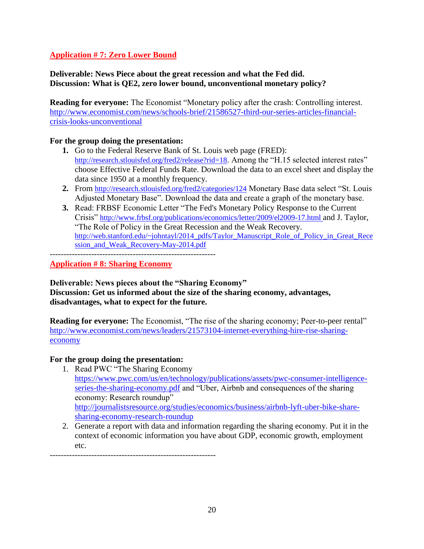## **Application # 7: Zero Lower Bound**

#### **Deliverable: News Piece about the great recession and what the Fed did. Discussion: What is QE2, zero lower bound, unconventional monetary policy?**

**Reading for everyone:** The Economist "Monetary policy after the crash: Controlling interest. [http://www.economist.com/news/schools-brief/21586527-third-our-series-articles-financial](http://www.economist.com/news/schools-brief/21586527-third-our-series-articles-financial-crisis-looks-unconventional)[crisis-looks-unconventional](http://www.economist.com/news/schools-brief/21586527-third-our-series-articles-financial-crisis-looks-unconventional)

#### **For the group doing the presentation:**

- **1.** Go to the Federal Reserve Bank of St. Louis web page (FRED): <http://research.stlouisfed.org/fred2/release?rid=18>. Among the "H.15 selected interest rates" choose Effective Federal Funds Rate. Download the data to an excel sheet and display the data since 1950 at a monthly frequency.
- **2.** From <http://research.stlouisfed.org/fred2/categories/124> Monetary Base data select "St. Louis Adjusted Monetary Base". Download the data and create a graph of the monetary base.
- **3.** Read: FRBSF Economic Letter "The Fed's Monetary Policy Response to the Current Crisis" <http://www.frbsf.org/publications/economics/letter/2009/el2009-17.html> and J. Taylor, "The Role of Policy in the Great Recession and the Weak Recovery. [http://web.stanford.edu/~johntayl/2014\\_pdfs/Taylor\\_Manuscript\\_Role\\_of\\_Policy\\_in\\_Great\\_Rece](http://web.stanford.edu/~johntayl/2014_pdfs/Taylor_Manuscript_Role_of_Policy_in_Great_Recession_and_Weak_Recovery-May-2014.pdf) [ssion\\_and\\_Weak\\_Recovery-May-2014.pdf](http://web.stanford.edu/~johntayl/2014_pdfs/Taylor_Manuscript_Role_of_Policy_in_Great_Recession_and_Weak_Recovery-May-2014.pdf)

------------------------------------------------------------

**Application # 8: Sharing Economy** 

**Deliverable: News pieces about the "Sharing Economy" Discussion: Get us informed about the size of the sharing economy, advantages, disadvantages, what to expect for the future.**

**Reading for everyone:** The Economist, "The rise of the sharing economy; Peer-to-peer rental" [http://www.economist.com/news/leaders/21573104-internet-everything-hire-rise-sharing](http://www.economist.com/news/leaders/21573104-internet-everything-hire-rise-sharing-economy)[economy](http://www.economist.com/news/leaders/21573104-internet-everything-hire-rise-sharing-economy)

#### **For the group doing the presentation:**

- 1. Read PWC "The Sharing Economy*",*  [https://www.pwc.com/us/en/technology/publications/assets/pwc-consumer-intelligence](https://www.pwc.com/us/en/technology/publications/assets/pwc-consumer-intelligence-series-the-sharing-economy.pdf)[series-the-sharing-economy.pdf](https://www.pwc.com/us/en/technology/publications/assets/pwc-consumer-intelligence-series-the-sharing-economy.pdf) and "Uber, Airbnb and consequences of the sharing economy: Research roundup" [http://journalistsresource.org/studies/economics/business/airbnb-lyft-uber-bike-share](http://journalistsresource.org/studies/economics/business/airbnb-lyft-uber-bike-share-sharing-economy-research-roundup)[sharing-economy-research-roundup](http://journalistsresource.org/studies/economics/business/airbnb-lyft-uber-bike-share-sharing-economy-research-roundup)
- 2. Generate a report with data and information regarding the sharing economy. Put it in the context of economic information you have about GDP, economic growth, employment etc.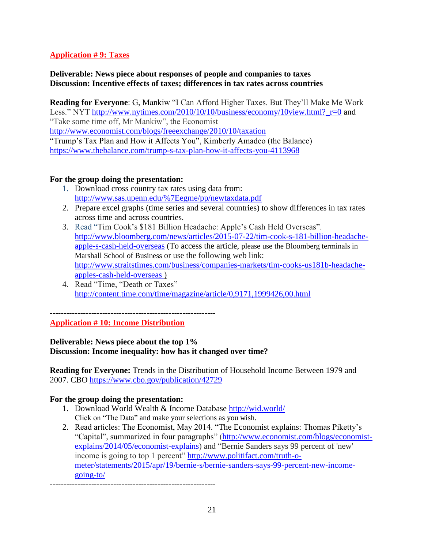## **Application # 9: Taxes**

#### **Deliverable: News piece about responses of people and companies to taxes Discussion: Incentive effects of taxes; differences in tax rates across countries**

**Reading for Everyone**: G, Mankiw "I Can Afford Higher Taxes. But They'll Make Me Work Less." NYT http://www.nytimes.com/2010/10/10/business/economy/10view.html? r=0 and "Take some time off, Mr Mankiw", the Economist

<http://www.economist.com/blogs/freeexchange/2010/10/taxation>

"Trump's Tax Plan and How it Affects You", Kimberly Amadeo (the Balance) <https://www.thebalance.com/trump-s-tax-plan-how-it-affects-you-4113968>

#### **For the group doing the presentation:**

- 1. Download cross country tax rates using data from: [http://www.sas.upenn.edu/%7Eegme/pp/newtaxdata.pdf](http://www.sas.upenn.edu/~egme/pp/newtaxdata.pdf)
- 2. Prepare excel graphs (time series and several countries) to show differences in tax rates across time and across countries.
- 3. Read "Tim Cook's \$181 Billion Headache: Apple's Cash Held Overseas". [http://www.bloomberg.com/news/articles/2015-07-22/tim-cook-s-181-billion-headache](http://www.bloomberg.com/news/articles/2015-07-22/tim-cook-s-181-billion-headache-apple-s-cash-held-overseas)[apple-s-cash-held-overseas](http://www.bloomberg.com/news/articles/2015-07-22/tim-cook-s-181-billion-headache-apple-s-cash-held-overseas) (To access the article, please use the Bloomberg terminals in Marshall School of Business or use the following web link: [http://www.straitstimes.com/business/companies-markets/tim-cooks-us181b-headache](http://www.straitstimes.com/business/companies-markets/tim-cooks-us181b-headache-apples-cash-held-overseas)[apples-cash-held-overseas](http://www.straitstimes.com/business/companies-markets/tim-cooks-us181b-headache-apples-cash-held-overseas) )
- 4. Read "Time, "Death or Taxes" <http://content.time.com/time/magazine/article/0,9171,1999426,00.html>

------------------------------------------------------------

**Application # 10: Income Distribution**

**Deliverable: News piece about the top 1% Discussion: Income inequality: how has it changed over time?** 

**Reading for Everyone:** Trends in the Distribution of Household Income Between 1979 and 2007. CBO<https://www.cbo.gov/publication/42729>

#### **For the group doing the presentation:**

- 1. Download World Wealth & Income Database http://wid.world/ Click on "The Data" and make your selections as you wish.
- 2. Read articles: The Economist, May 2014. "The Economist explains: Thomas Piketty's "Capital", summarized in four paragraphs" [\(http://www.economist.com/blogs/economist](http://www.economist.com/blogs/economist-explains/2014/05/economist-explains)[explains/2014/05/economist-explains\)](http://www.economist.com/blogs/economist-explains/2014/05/economist-explains) and "Bernie Sanders says 99 percent of 'new' income is going to top 1 percent" [http://www.politifact.com/truth-o](http://www.politifact.com/truth-o-meter/statements/2015/apr/19/bernie-s/bernie-sanders-says-99-percent-new-income-going-to/)[meter/statements/2015/apr/19/bernie-s/bernie-sanders-says-99-percent-new-income](http://www.politifact.com/truth-o-meter/statements/2015/apr/19/bernie-s/bernie-sanders-says-99-percent-new-income-going-to/)[going-to/](http://www.politifact.com/truth-o-meter/statements/2015/apr/19/bernie-s/bernie-sanders-says-99-percent-new-income-going-to/)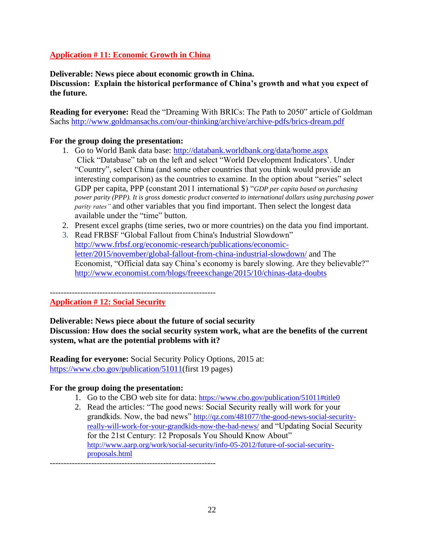## **Application # 11: Economic Growth in China**

**Deliverable: News piece about economic growth in China.**

**Discussion: Explain the historical performance of China's growth and what you expect of the future.** 

**Reading for everyone:** Read the "Dreaming With BRICs: The Path to 2050" article of Goldman Sachs <http://www.goldmansachs.com/our-thinking/archive/archive-pdfs/brics-dream.pdf>

#### **For the group doing the presentation:**

- 1. Go to World Bank data base:<http://databank.worldbank.org/data/home.aspx> Click "Database" tab on the left and select "World Development Indicators'. Under "Country", select China (and some other countries that you think would provide an interesting comparison) as the countries to examine. In the option about "series" select GDP per capita, PPP (constant 2011 international \$) "*GDP per capita based on purchasing power parity (PPP). It is gross domestic product converted to international dollars using purchasing power parity rates"* and other variables that you find important. Then select the longest data available under the "time" button.
- 2. Present excel graphs (time series, two or more countries) on the data you find important.
- 3. Read FRBSF "Global Fallout from China's Industrial Slowdown" [http://www.frbsf.org/economic-research/publications/economic](http://www.frbsf.org/economic-research/publications/economic-letter/2015/november/global-fallout-from-china-industrial-slowdown/)[letter/2015/november/global-fallout-from-china-industrial-slowdown/](http://www.frbsf.org/economic-research/publications/economic-letter/2015/november/global-fallout-from-china-industrial-slowdown/) and The Economist, "Official data say China's economy is barely slowing. Are they believable?" <http://www.economist.com/blogs/freeexchange/2015/10/chinas-data-doubts>

#### **Application # 12: Social Security**

#### **Deliverable: News piece about the future of social security**

**Discussion: How does the social security system work, what are the benefits of the current system, what are the potential problems with it?**

**Reading for everyone:** Social Security Policy Options, 2015 at: [https://www.cbo.gov/publication/51011\(](https://www.cbo.gov/publication/51011)first 19 pages)

#### **For the group doing the presentation:**

- 1. Go to the CBO web site for data: <https://www.cbo.gov/publication/51011#title0>
- 2. Read the articles: "The good news: Social Security really will work for your grandkids. Now, the bad news" [http://qz.com/481077/the-good-news-social-security](http://qz.com/481077/the-good-news-social-security-really-will-work-for-your-grandkids-now-the-bad-news/)[really-will-work-for-your-grandkids-now-the-bad-news/](http://qz.com/481077/the-good-news-social-security-really-will-work-for-your-grandkids-now-the-bad-news/) and "Updating Social Security for the 21st Century: 12 Proposals You Should Know About" [http://www.aarp.org/work/social-security/info-05-2012/future-of-social-security](http://www.aarp.org/work/social-security/info-05-2012/future-of-social-security-proposals.html)[proposals.html](http://www.aarp.org/work/social-security/info-05-2012/future-of-social-security-proposals.html)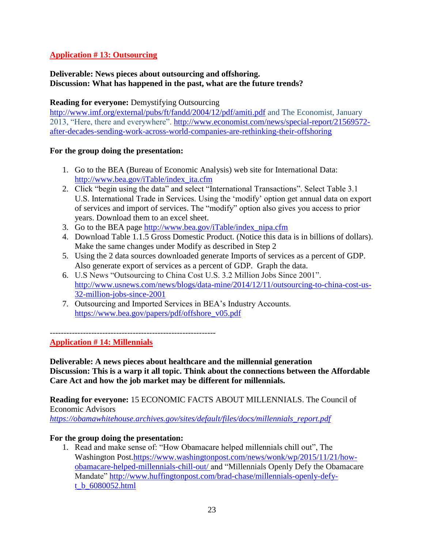## **Application # 13: Outsourcing**

#### **Deliverable: News pieces about outsourcing and offshoring. Discussion: What has happened in the past, what are the future trends?**

#### **Reading for everyone:** Demystifying Outsourcing

<http://www.imf.org/external/pubs/ft/fandd/2004/12/pdf/amiti.pdf> and The Economist, January 2013, "Here, there and everywhere". [http://www.economist.com/news/special-report/21569572](http://www.economist.com/news/special-report/21569572-after-decades-sending-work-across-world-companies-are-rethinking-their-offshoring) [after-decades-sending-work-across-world-companies-are-rethinking-their-offshoring](http://www.economist.com/news/special-report/21569572-after-decades-sending-work-across-world-companies-are-rethinking-their-offshoring)

#### **For the group doing the presentation:**

- 1. Go to the BEA (Bureau of Economic Analysis) web site for International Data: [http://www.bea.gov/iTable/index\\_ita.cfm](http://www.bea.gov/iTable/index_ita.cfm)
- 2. Click "begin using the data" and select "International Transactions". Select Table 3.1 U.S. International Trade in Services. Using the 'modify' option get annual data on export of services and import of services. The "modify" option also gives you access to prior years. Download them to an excel sheet.
- 3. Go to the BEA page [http://www.bea.gov/iTable/index\\_nipa.cfm](http://www.bea.gov/iTable/index_nipa.cfm)
- 4. Download Table 1.1.5 Gross Domestic Product. (Notice this data is in billions of dollars). Make the same changes under Modify as described in Step 2
- 5. Using the 2 data sources downloaded generate Imports of services as a percent of GDP. Also generate export of services as a percent of GDP. Graph the data.
- 6. U.S News "Outsourcing to China Cost U.S. 3.2 Million Jobs Since 2001". [http://www.usnews.com/news/blogs/data-mine/2014/12/11/outsourcing-to-china-cost-us-](http://www.usnews.com/news/blogs/data-mine/2014/12/11/outsourcing-to-china-cost-us-32-million-jobs-since-2001)[32-million-jobs-since-2001](http://www.usnews.com/news/blogs/data-mine/2014/12/11/outsourcing-to-china-cost-us-32-million-jobs-since-2001)
- 7. Outsourcing and Imported Services in BEA's Industry Accounts. https://www.bea.gov/papers/pdf/offshore\_v05.pdf

------------------------------------------------------------

#### **Application # 14: Millennials**

**Deliverable: A news pieces about healthcare and the millennial generation Discussion: This is a warp it all topic. Think about the connections between the Affordable Care Act and how the job market may be different for millennials.**

**Reading for everyone:** 15 ECONOMIC FACTS ABOUT MILLENNIALS. The Council of Economic Advisors

*[https://obamawhitehouse.archives.gov/sites/default/files/docs/millennials\\_report.pdf](https://www.google.com/url?sa=t&rct=j&q=&esrc=s&source=web&cd=1&ved=2ahUKEwiToN6Q463fAhWRiIsKHf8LCW0QFjAAegQIChAC&url=https%3A%2F%2Fobamawhitehouse.archives.gov%2Fsites%2Fdefault%2Ffiles%2Fdocs%2Fmillennials_report.pdf&usg=AOvVaw02MrU77cGeyMo2yiaVFuE6)*

#### **For the group doing the presentation:**

1. Read and make sense of: "How Obamacare helped millennials chill out", The Washington Post[.https://www.washingtonpost.com/news/wonk/wp/2015/11/21/how](https://www.washingtonpost.com/news/wonk/wp/2015/11/21/how-obamacare-helped-millennials-chill-out/)[obamacare-helped-millennials-chill-out/](https://www.washingtonpost.com/news/wonk/wp/2015/11/21/how-obamacare-helped-millennials-chill-out/) and "Millennials Openly Defy the Obamacare Mandate" [http://www.huffingtonpost.com/brad-chase/millennials-openly-defy](http://www.huffingtonpost.com/brad-chase/millennials-openly-defy-t_b_6080052.html)[t\\_b\\_6080052.html](http://www.huffingtonpost.com/brad-chase/millennials-openly-defy-t_b_6080052.html)